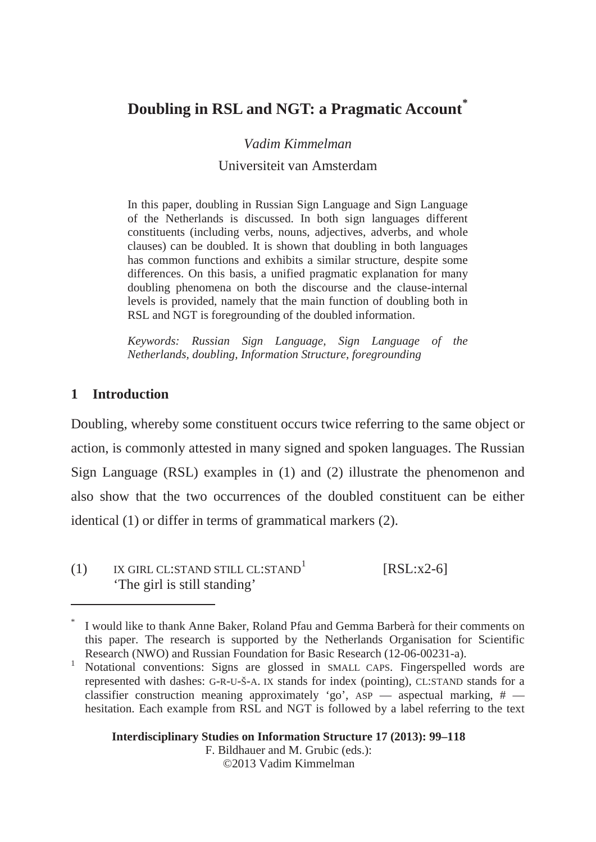# **Doubling in RSL and NGT: a Pragmatic Account\***

*Vadim Kimmelman* 

### Universiteit van Amsterdam

In this paper, doubling in Russian Sign Language and Sign Language of the Netherlands is discussed. In both sign languages different constituents (including verbs, nouns, adjectives, adverbs, and whole clauses) can be doubled. It is shown that doubling in both languages has common functions and exhibits a similar structure, despite some differences. On this basis, a unified pragmatic explanation for many doubling phenomena on both the discourse and the clause-internal levels is provided, namely that the main function of doubling both in RSL and NGT is foregrounding of the doubled information.

*Keywords: Russian Sign Language, Sign Language of the Netherlands, doubling, Information Structure, foregrounding* 

# **1 Introduction**

 $\overline{a}$ 

Doubling, whereby some constituent occurs twice referring to the same object or action, is commonly attested in many signed and spoken languages. The Russian Sign Language (RSL) examples in (1) and (2) illustrate the phenomenon and also show that the two occurrences of the doubled constituent can be either identical (1) or differ in terms of grammatical markers (2).

 $(1)$  IX GIRL CL:STAND STILL CL:STAND<sup>1</sup> [RSL:x2-6] 'The girl is still standing'

**Interdisciplinary Studies on Information Structure 17 (2013): 99–118**  F. Bildhauer and M. Grubic (eds.): ©2013 Vadim Kimmelman

<sup>\*</sup> I would like to thank Anne Baker, Roland Pfau and Gemma Barberà for their comments on this paper. The research is supported by the Netherlands Organisation for Scientific Research (NWO) and Russian Foundation for Basic Research (12-06-00231-a).

<sup>1</sup> Notational conventions: Signs are glossed in SMALL CAPS. Fingerspelled words are represented with dashes: G-R-U-Š-A. IX stands for index (pointing), CL:STAND stands for a classifier construction meaning approximately 'go', ASP — aspectual marking, # hesitation. Each example from RSL and NGT is followed by a label referring to the text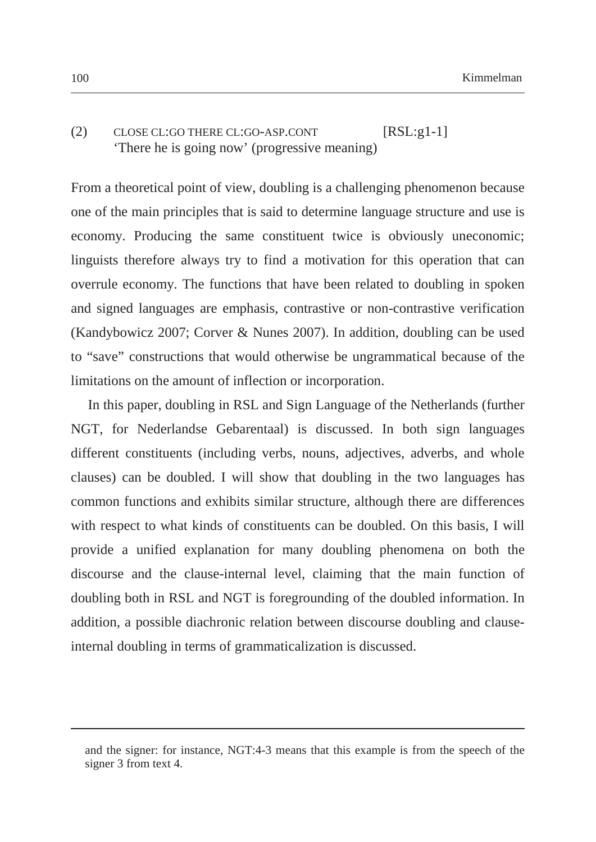# (2) CLOSE CL:GO THERE CL:GO-ASP.CONT [RSL:g1-1] 'There he is going now' (progressive meaning)

From a theoretical point of view, doubling is a challenging phenomenon because one of the main principles that is said to determine language structure and use is economy. Producing the same constituent twice is obviously uneconomic; linguists therefore always try to find a motivation for this operation that can overrule economy. The functions that have been related to doubling in spoken and signed languages are emphasis, contrastive or non-contrastive verification (Kandybowicz 2007; Corver & Nunes 2007). In addition, doubling can be used to "save" constructions that would otherwise be ungrammatical because of the limitations on the amount of inflection or incorporation.

In this paper, doubling in RSL and Sign Language of the Netherlands (further NGT, for Nederlandse Gebarentaal) is discussed. In both sign languages different constituents (including verbs, nouns, adjectives, adverbs, and whole clauses) can be doubled. I will show that doubling in the two languages has common functions and exhibits similar structure, although there are differences with respect to what kinds of constituents can be doubled. On this basis, I will provide a unified explanation for many doubling phenomena on both the discourse and the clause-internal level, claiming that the main function of doubling both in RSL and NGT is foregrounding of the doubled information. In addition, a possible diachronic relation between discourse doubling and clauseinternal doubling in terms of grammaticalization is discussed.

 $\overline{a}$ 

and the signer: for instance, NGT:4-3 means that this example is from the speech of the signer 3 from text 4.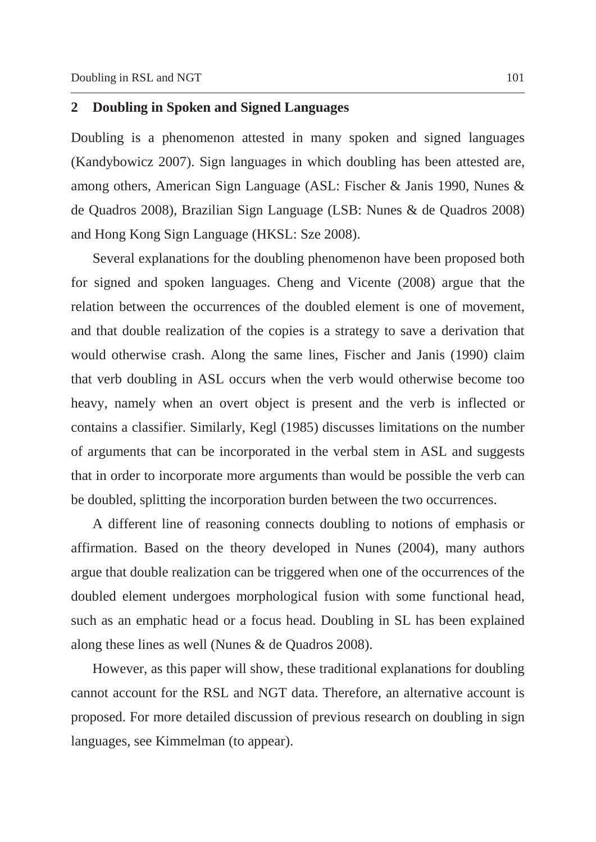# **2 Doubling in Spoken and Signed Languages**

Doubling is a phenomenon attested in many spoken and signed languages (Kandybowicz 2007). Sign languages in which doubling has been attested are, among others, American Sign Language (ASL: Fischer & Janis 1990, Nunes & de Quadros 2008), Brazilian Sign Language (LSB: Nunes & de Quadros 2008) and Hong Kong Sign Language (HKSL: Sze 2008).

Several explanations for the doubling phenomenon have been proposed both for signed and spoken languages. Cheng and Vicente (2008) argue that the relation between the occurrences of the doubled element is one of movement, and that double realization of the copies is a strategy to save a derivation that would otherwise crash. Along the same lines, Fischer and Janis (1990) claim that verb doubling in ASL occurs when the verb would otherwise become too heavy, namely when an overt object is present and the verb is inflected or contains a classifier. Similarly, Kegl (1985) discusses limitations on the number of arguments that can be incorporated in the verbal stem in ASL and suggests that in order to incorporate more arguments than would be possible the verb can be doubled, splitting the incorporation burden between the two occurrences.

A different line of reasoning connects doubling to notions of emphasis or affirmation. Based on the theory developed in Nunes (2004), many authors argue that double realization can be triggered when one of the occurrences of the doubled element undergoes morphological fusion with some functional head, such as an emphatic head or a focus head. Doubling in SL has been explained along these lines as well (Nunes & de Quadros 2008).

However, as this paper will show, these traditional explanations for doubling cannot account for the RSL and NGT data. Therefore, an alternative account is proposed. For more detailed discussion of previous research on doubling in sign languages, see Kimmelman (to appear).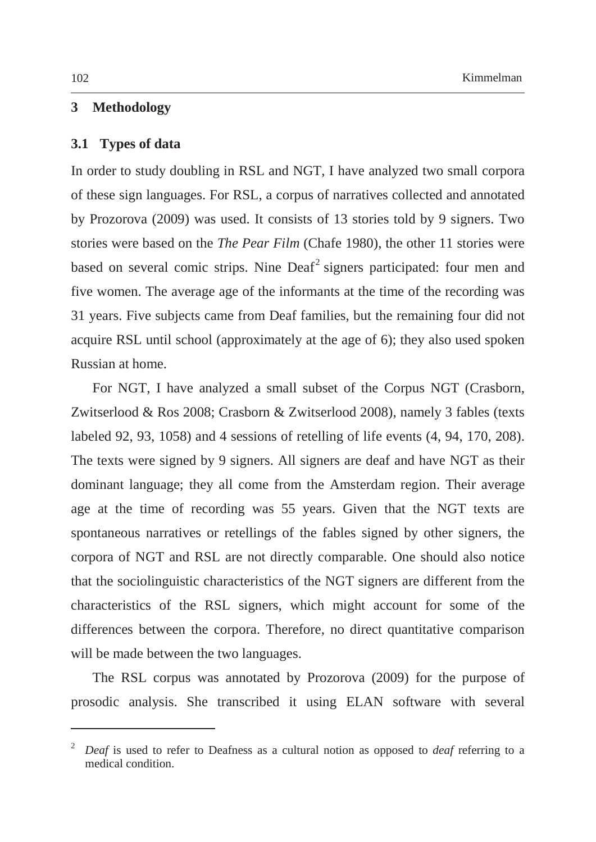## **3 Methodology**

#### **3.1 Types of data**

In order to study doubling in RSL and NGT, I have analyzed two small corpora of these sign languages. For RSL, a corpus of narratives collected and annotated by Prozorova (2009) was used. It consists of 13 stories told by 9 signers. Two stories were based on the *The Pear Film* (Chafe 1980), the other 11 stories were based on several comic strips. Nine Deaf<sup>2</sup> signers participated: four men and five women. The average age of the informants at the time of the recording was 31 years. Five subjects came from Deaf families, but the remaining four did not acquire RSL until school (approximately at the age of 6); they also used spoken Russian at home.

For NGT, I have analyzed a small subset of the Corpus NGT (Crasborn, Zwitserlood & Ros 2008; Crasborn & Zwitserlood 2008), namely 3 fables (texts labeled 92, 93, 1058) and 4 sessions of retelling of life events (4, 94, 170, 208). The texts were signed by 9 signers. All signers are deaf and have NGT as their dominant language; they all come from the Amsterdam region. Their average age at the time of recording was 55 years. Given that the NGT texts are spontaneous narratives or retellings of the fables signed by other signers, the corpora of NGT and RSL are not directly comparable. One should also notice that the sociolinguistic characteristics of the NGT signers are different from the characteristics of the RSL signers, which might account for some of the differences between the corpora. Therefore, no direct quantitative comparison will be made between the two languages.

The RSL corpus was annotated by Prozorova (2009) for the purpose of prosodic analysis. She transcribed it using ELAN software with several

 $\overline{a}$ 

<sup>2</sup> *Deaf* is used to refer to Deafness as a cultural notion as opposed to *deaf* referring to a medical condition.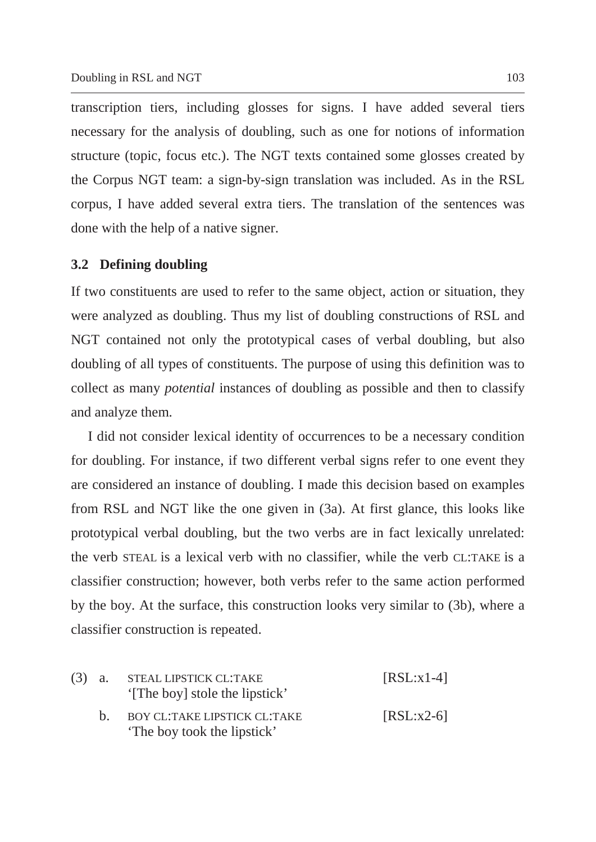transcription tiers, including glosses for signs. I have added several tiers necessary for the analysis of doubling, such as one for notions of information structure (topic, focus etc.). The NGT texts contained some glosses created by the Corpus NGT team: a sign-by-sign translation was included. As in the RSL corpus, I have added several extra tiers. The translation of the sentences was done with the help of a native signer.

### **3.2 Defining doubling**

If two constituents are used to refer to the same object, action or situation, they were analyzed as doubling. Thus my list of doubling constructions of RSL and NGT contained not only the prototypical cases of verbal doubling, but also doubling of all types of constituents. The purpose of using this definition was to collect as many *potential* instances of doubling as possible and then to classify and analyze them.

I did not consider lexical identity of occurrences to be a necessary condition for doubling. For instance, if two different verbal signs refer to one event they are considered an instance of doubling. I made this decision based on examples from RSL and NGT like the one given in (3a). At first glance, this looks like prototypical verbal doubling, but the two verbs are in fact lexically unrelated: the verb STEAL is a lexical verb with no classifier, while the verb CL:TAKE is a classifier construction; however, both verbs refer to the same action performed by the boy. At the surface, this construction looks very similar to (3b), where a classifier construction is repeated.

|    | (3) a. STEAL LIPSTICK CL:TAKE<br>'[The boy] stole the lipstick'    | $[RSL:x1-4]$ |
|----|--------------------------------------------------------------------|--------------|
| h. | <b>BOY CL:TAKE LIPSTICK CL:TAKE</b><br>'The boy took the lipstick' | $[RSL:x2-6]$ |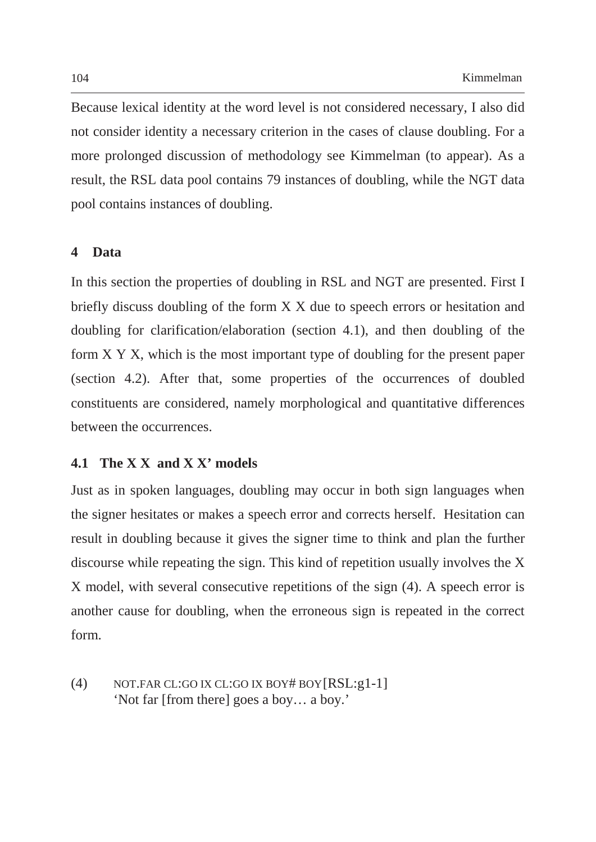Because lexical identity at the word level is not considered necessary, I also did not consider identity a necessary criterion in the cases of clause doubling. For a more prolonged discussion of methodology see Kimmelman (to appear). As a result, the RSL data pool contains 79 instances of doubling, while the NGT data pool contains instances of doubling.

### **4 Data**

In this section the properties of doubling in RSL and NGT are presented. First I briefly discuss doubling of the form X X due to speech errors or hesitation and doubling for clarification/elaboration (section 4.1), and then doubling of the form X Y X, which is the most important type of doubling for the present paper (section 4.2). After that, some properties of the occurrences of doubled constituents are considered, namely morphological and quantitative differences between the occurrences.

## **4.1 The X X and X X' models**

Just as in spoken languages, doubling may occur in both sign languages when the signer hesitates or makes a speech error and corrects herself. Hesitation can result in doubling because it gives the signer time to think and plan the further discourse while repeating the sign. This kind of repetition usually involves the X X model, with several consecutive repetitions of the sign (4). A speech error is another cause for doubling, when the erroneous sign is repeated in the correct form.

(4) NOT.FAR CL:GO IX CL:GO IX BOY# BOY [RSL:g1-1] 'Not far [from there] goes a boy… a boy.'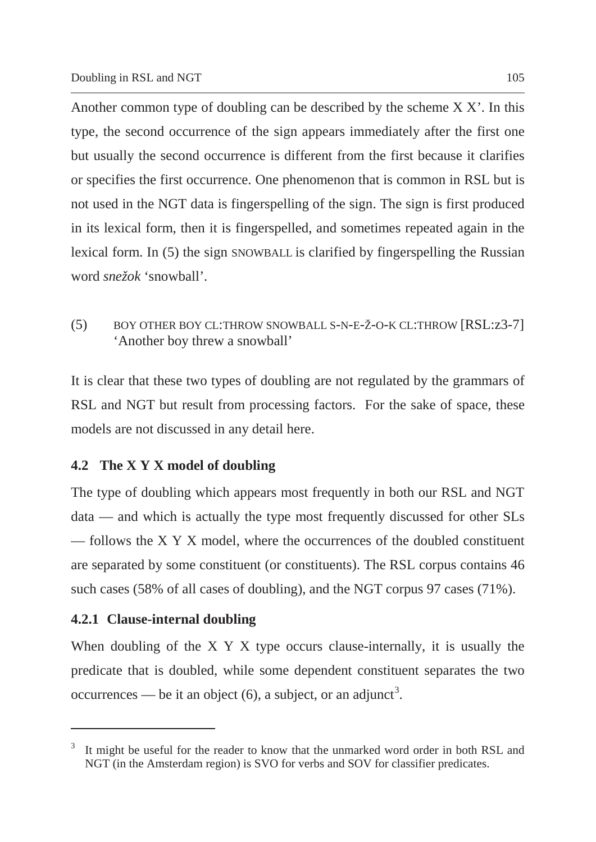Another common type of doubling can be described by the scheme X X'. In this type, the second occurrence of the sign appears immediately after the first one but usually the second occurrence is different from the first because it clarifies or specifies the first occurrence. One phenomenon that is common in RSL but is not used in the NGT data is fingerspelling of the sign. The sign is first produced in its lexical form, then it is fingerspelled, and sometimes repeated again in the lexical form. In (5) the sign SNOWBALL is clarified by fingerspelling the Russian word *snežok* 'snowball'.

(5) BOY OTHER BOY CL:THROW SNOWBALL S-N-E-Ž-O-K CL:THROW [RSL:z3-7] 'Another boy threw a snowball'

It is clear that these two types of doubling are not regulated by the grammars of RSL and NGT but result from processing factors. For the sake of space, these models are not discussed in any detail here.

# **4.2 The X Y X model of doubling**

The type of doubling which appears most frequently in both our RSL and NGT data — and which is actually the type most frequently discussed for other SLs — follows the X Y X model, where the occurrences of the doubled constituent are separated by some constituent (or constituents). The RSL corpus contains 46 such cases (58% of all cases of doubling), and the NGT corpus 97 cases (71%).

# **4.2.1 Clause-internal doubling**

 $\overline{a}$ 

When doubling of the X Y X type occurs clause-internally, it is usually the predicate that is doubled, while some dependent constituent separates the two occurrences — be it an object  $(6)$ , a subject, or an adjunct<sup>3</sup>.

<sup>3</sup> It might be useful for the reader to know that the unmarked word order in both RSL and NGT (in the Amsterdam region) is SVO for verbs and SOV for classifier predicates.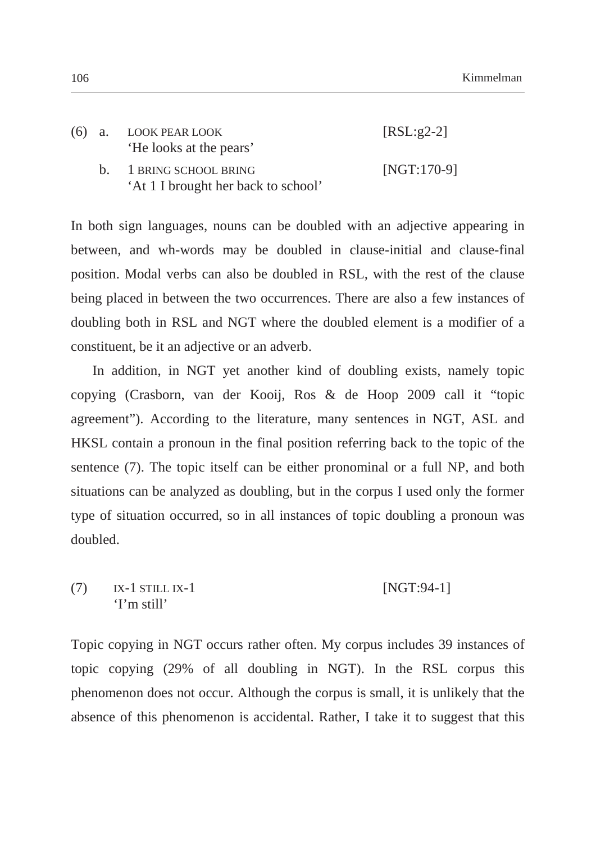|  | (6) a. LOOK PEAR LOOK<br>'He looks at the pears'               | $[RSL:g2-2]$  |
|--|----------------------------------------------------------------|---------------|
|  | b. 1 BRING SCHOOL BRING<br>'At 1 I brought her back to school' | $[NGT:170-9]$ |

In both sign languages, nouns can be doubled with an adjective appearing in between, and wh-words may be doubled in clause-initial and clause-final position. Modal verbs can also be doubled in RSL, with the rest of the clause being placed in between the two occurrences. There are also a few instances of doubling both in RSL and NGT where the doubled element is a modifier of a constituent, be it an adjective or an adverb.

In addition, in NGT yet another kind of doubling exists, namely topic copying (Crasborn, van der Kooij, Ros & de Hoop 2009 call it "topic agreement"). According to the literature, many sentences in NGT, ASL and HKSL contain a pronoun in the final position referring back to the topic of the sentence (7). The topic itself can be either pronominal or a full NP, and both situations can be analyzed as doubling, but in the corpus I used only the former type of situation occurred, so in all instances of topic doubling a pronoun was doubled.

(7) IX-1 STILL IX-1 [NGT:94-1] 'I'm still'

Topic copying in NGT occurs rather often. My corpus includes 39 instances of topic copying (29% of all doubling in NGT). In the RSL corpus this phenomenon does not occur. Although the corpus is small, it is unlikely that the absence of this phenomenon is accidental. Rather, I take it to suggest that this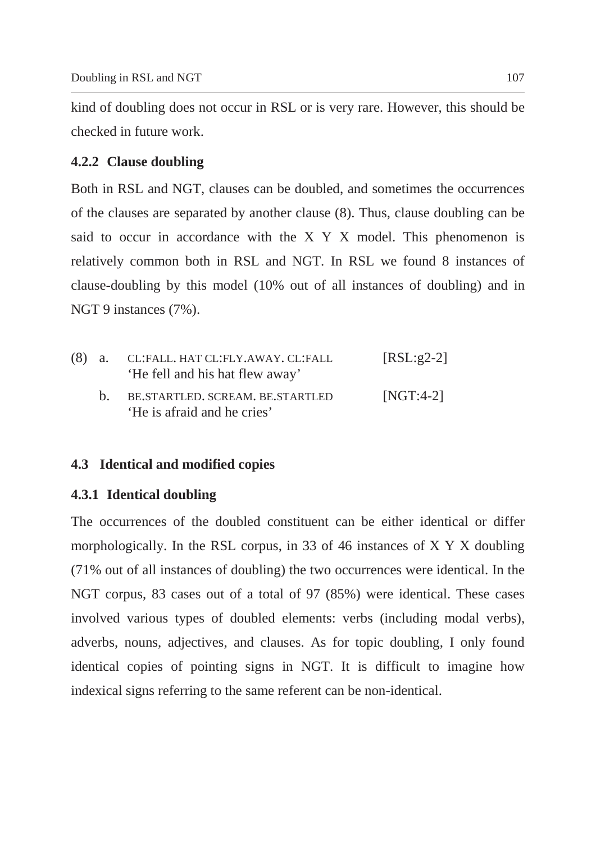kind of doubling does not occur in RSL or is very rare. However, this should be checked in future work.

# **4.2.2 Clause doubling**

Both in RSL and NGT, clauses can be doubled, and sometimes the occurrences of the clauses are separated by another clause (8). Thus, clause doubling can be said to occur in accordance with the X Y X model. This phenomenon is relatively common both in RSL and NGT. In RSL we found 8 instances of clause-doubling by this model (10% out of all instances of doubling) and in NGT 9 instances (7%).

| $(8)$ a. | CL:FALL. HAT CL:FLY.AWAY. CL:FALL<br>'He fell and his hat flew away' | $[RSL:g2-2]$ |
|----------|----------------------------------------------------------------------|--------------|
|          | b. BE.STARTLED. SCREAM. BE.STARTLED<br>'He is afraid and he cries'   | $[NGT:4-2]$  |

# **4.3 Identical and modified copies**

# **4.3.1 Identical doubling**

The occurrences of the doubled constituent can be either identical or differ morphologically. In the RSL corpus, in 33 of 46 instances of X Y X doubling (71% out of all instances of doubling) the two occurrences were identical. In the NGT corpus, 83 cases out of a total of 97 (85%) were identical. These cases involved various types of doubled elements: verbs (including modal verbs), adverbs, nouns, adjectives, and clauses. As for topic doubling, I only found identical copies of pointing signs in NGT. It is difficult to imagine how indexical signs referring to the same referent can be non-identical.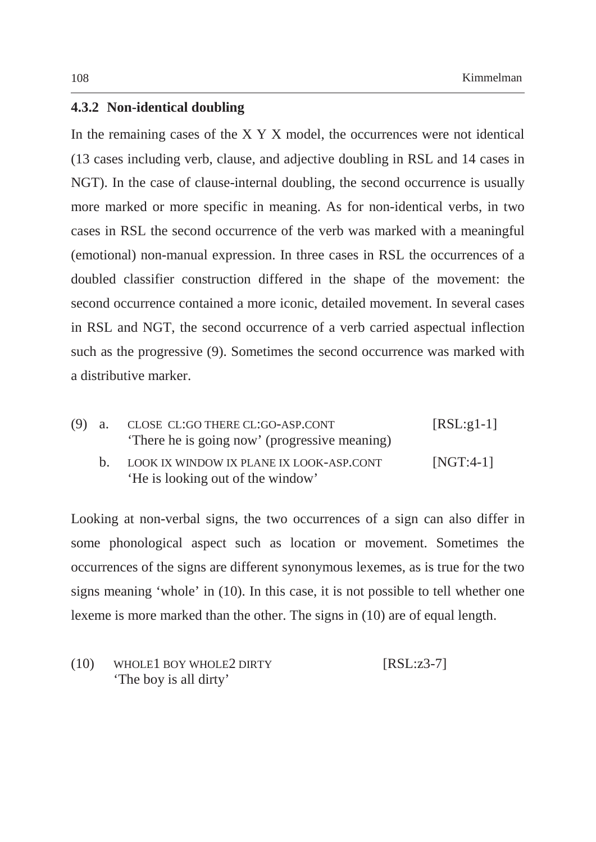## **4.3.2 Non-identical doubling**

In the remaining cases of the X Y X model, the occurrences were not identical (13 cases including verb, clause, and adjective doubling in RSL and 14 cases in NGT). In the case of clause-internal doubling, the second occurrence is usually more marked or more specific in meaning. As for non-identical verbs, in two cases in RSL the second occurrence of the verb was marked with a meaningful (emotional) non-manual expression. In three cases in RSL the occurrences of a doubled classifier construction differed in the shape of the movement: the second occurrence contained a more iconic, detailed movement. In several cases in RSL and NGT, the second occurrence of a verb carried aspectual inflection such as the progressive (9). Sometimes the second occurrence was marked with a distributive marker.

| (9) a. | CLOSE CL:GO THERE CL:GO-ASP.CONT<br>There he is going now' (progressive meaning) | $[RSL:g1-1]$ |
|--------|----------------------------------------------------------------------------------|--------------|
|        | b. LOOK IX WINDOW IX PLANE IX LOOK-ASP.CONT<br>'He is looking out of the window' | $[NGT:4-1]$  |

Looking at non-verbal signs, the two occurrences of a sign can also differ in some phonological aspect such as location or movement. Sometimes the occurrences of the signs are different synonymous lexemes, as is true for the two signs meaning 'whole' in (10). In this case, it is not possible to tell whether one lexeme is more marked than the other. The signs in (10) are of equal length.

| (10) | WHOLE 1 BOY WHOLE 2 DIRTY | $[RSL:z3-7]$ |  |
|------|---------------------------|--------------|--|
|      | 'The boy is all dirty'    |              |  |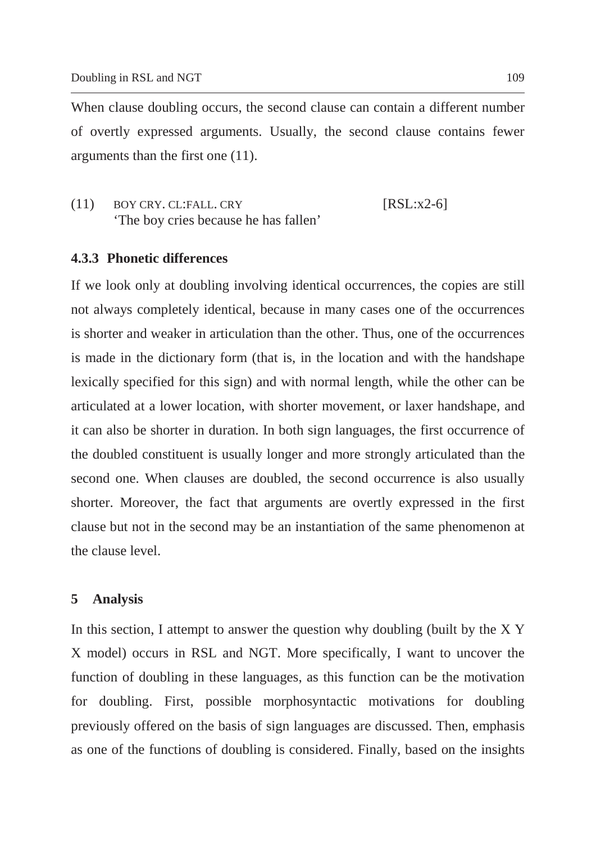When clause doubling occurs, the second clause can contain a different number of overtly expressed arguments. Usually, the second clause contains fewer arguments than the first one (11).

 $(11)$  BOY CRY. CL:FALL. CRY [RSL:x2-6] 'The boy cries because he has fallen'

## **4.3.3 Phonetic differences**

If we look only at doubling involving identical occurrences, the copies are still not always completely identical, because in many cases one of the occurrences is shorter and weaker in articulation than the other. Thus, one of the occurrences is made in the dictionary form (that is, in the location and with the handshape lexically specified for this sign) and with normal length, while the other can be articulated at a lower location, with shorter movement, or laxer handshape, and it can also be shorter in duration. In both sign languages, the first occurrence of the doubled constituent is usually longer and more strongly articulated than the second one. When clauses are doubled, the second occurrence is also usually shorter. Moreover, the fact that arguments are overtly expressed in the first clause but not in the second may be an instantiation of the same phenomenon at the clause level.

### **5 Analysis**

In this section, I attempt to answer the question why doubling (built by the X Y X model) occurs in RSL and NGT. More specifically, I want to uncover the function of doubling in these languages, as this function can be the motivation for doubling. First, possible morphosyntactic motivations for doubling previously offered on the basis of sign languages are discussed. Then, emphasis as one of the functions of doubling is considered. Finally, based on the insights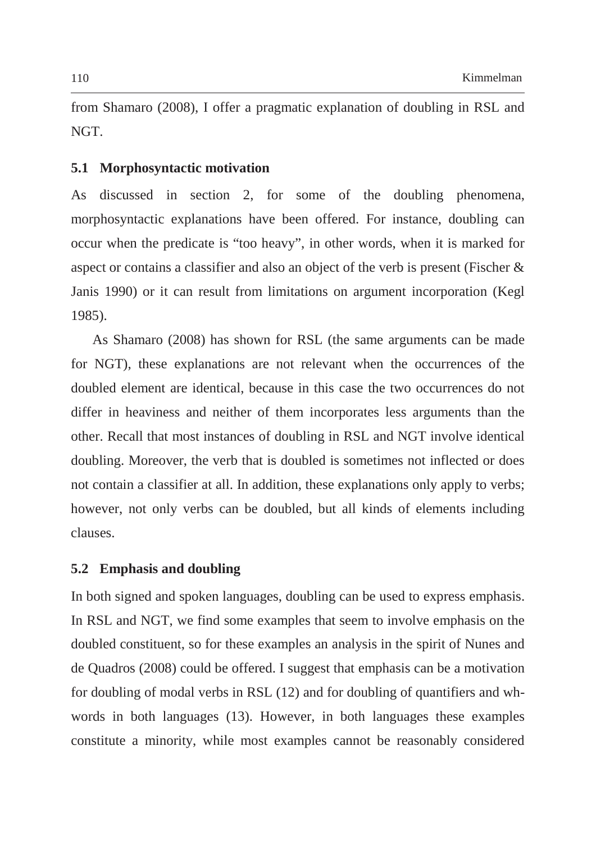from Shamaro (2008), I offer a pragmatic explanation of doubling in RSL and NGT.

### **5.1 Morphosyntactic motivation**

As discussed in section 2, for some of the doubling phenomena, morphosyntactic explanations have been offered. For instance, doubling can occur when the predicate is "too heavy", in other words, when it is marked for aspect or contains a classifier and also an object of the verb is present (Fischer & Janis 1990) or it can result from limitations on argument incorporation (Kegl 1985).

As Shamaro (2008) has shown for RSL (the same arguments can be made for NGT), these explanations are not relevant when the occurrences of the doubled element are identical, because in this case the two occurrences do not differ in heaviness and neither of them incorporates less arguments than the other. Recall that most instances of doubling in RSL and NGT involve identical doubling. Moreover, the verb that is doubled is sometimes not inflected or does not contain a classifier at all. In addition, these explanations only apply to verbs; however, not only verbs can be doubled, but all kinds of elements including clauses.

## **5.2 Emphasis and doubling**

In both signed and spoken languages, doubling can be used to express emphasis. In RSL and NGT, we find some examples that seem to involve emphasis on the doubled constituent, so for these examples an analysis in the spirit of Nunes and de Quadros (2008) could be offered. I suggest that emphasis can be a motivation for doubling of modal verbs in RSL (12) and for doubling of quantifiers and whwords in both languages (13). However, in both languages these examples constitute a minority, while most examples cannot be reasonably considered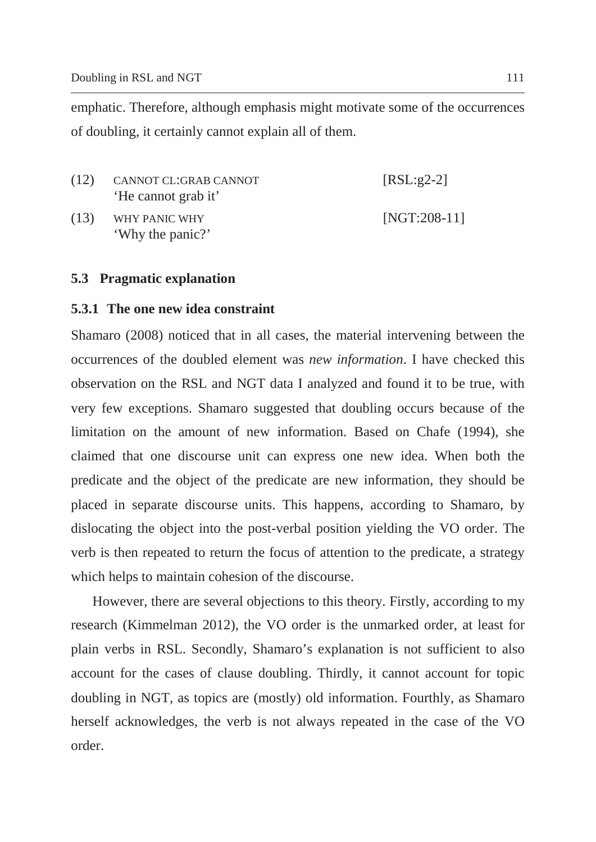emphatic. Therefore, although emphasis might motivate some of the occurrences of doubling, it certainly cannot explain all of them.

| (12) | CANNOT CL:GRAB CANNOT<br>'He cannot grab it' | $[RSL:g2-2]$   |
|------|----------------------------------------------|----------------|
| (13) | WHY PANIC WHY<br>'Why the panic?'            | $[NGT:208-11]$ |

# **5.3 Pragmatic explanation**

# **5.3.1 The one new idea constraint**

Shamaro (2008) noticed that in all cases, the material intervening between the occurrences of the doubled element was *new information*. I have checked this observation on the RSL and NGT data I analyzed and found it to be true, with very few exceptions. Shamaro suggested that doubling occurs because of the limitation on the amount of new information. Based on Chafe (1994), she claimed that one discourse unit can express one new idea. When both the predicate and the object of the predicate are new information, they should be placed in separate discourse units. This happens, according to Shamaro, by dislocating the object into the post-verbal position yielding the VO order. The verb is then repeated to return the focus of attention to the predicate, a strategy which helps to maintain cohesion of the discourse.

However, there are several objections to this theory. Firstly, according to my research (Kimmelman 2012), the VO order is the unmarked order, at least for plain verbs in RSL. Secondly, Shamaro's explanation is not sufficient to also account for the cases of clause doubling. Thirdly, it cannot account for topic doubling in NGT, as topics are (mostly) old information. Fourthly, as Shamaro herself acknowledges, the verb is not always repeated in the case of the VO order.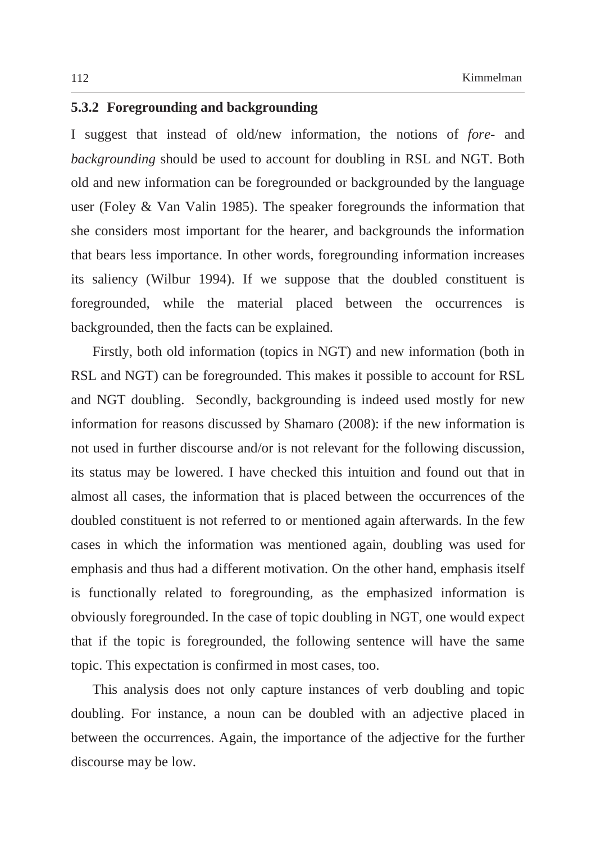# **5.3.2 Foregrounding and backgrounding**

I suggest that instead of old/new information, the notions of *fore-* and *backgrounding* should be used to account for doubling in RSL and NGT. Both old and new information can be foregrounded or backgrounded by the language user (Foley & Van Valin 1985). The speaker foregrounds the information that she considers most important for the hearer, and backgrounds the information that bears less importance. In other words, foregrounding information increases its saliency (Wilbur 1994). If we suppose that the doubled constituent is foregrounded, while the material placed between the occurrences is backgrounded, then the facts can be explained.

Firstly, both old information (topics in NGT) and new information (both in RSL and NGT) can be foregrounded. This makes it possible to account for RSL and NGT doubling. Secondly, backgrounding is indeed used mostly for new information for reasons discussed by Shamaro (2008): if the new information is not used in further discourse and/or is not relevant for the following discussion, its status may be lowered. I have checked this intuition and found out that in almost all cases, the information that is placed between the occurrences of the doubled constituent is not referred to or mentioned again afterwards. In the few cases in which the information was mentioned again, doubling was used for emphasis and thus had a different motivation. On the other hand, emphasis itself is functionally related to foregrounding, as the emphasized information is obviously foregrounded. In the case of topic doubling in NGT, one would expect that if the topic is foregrounded, the following sentence will have the same topic. This expectation is confirmed in most cases, too.

This analysis does not only capture instances of verb doubling and topic doubling. For instance, a noun can be doubled with an adjective placed in between the occurrences. Again, the importance of the adjective for the further discourse may be low.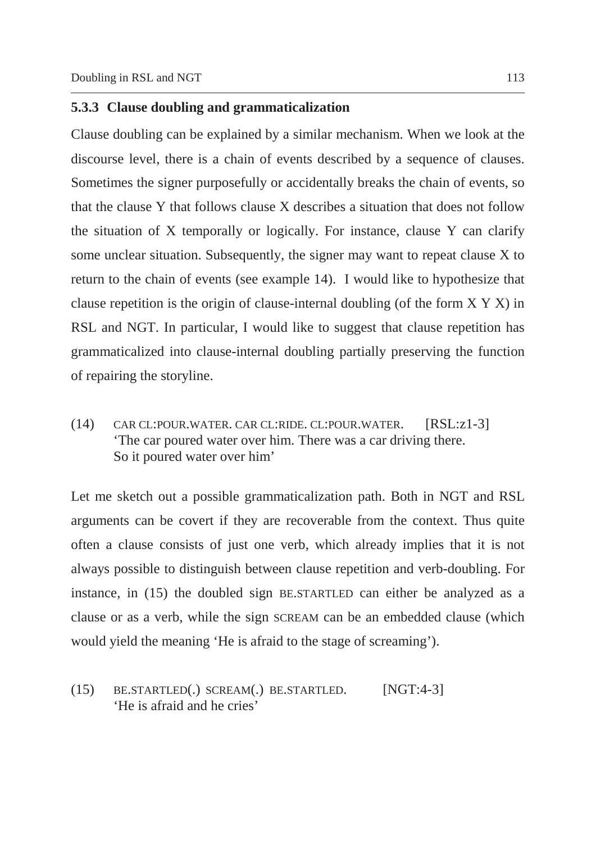## **5.3.3 Clause doubling and grammaticalization**

Clause doubling can be explained by a similar mechanism. When we look at the discourse level, there is a chain of events described by a sequence of clauses. Sometimes the signer purposefully or accidentally breaks the chain of events, so that the clause Y that follows clause X describes a situation that does not follow the situation of X temporally or logically. For instance, clause Y can clarify some unclear situation. Subsequently, the signer may want to repeat clause X to return to the chain of events (see example 14). I would like to hypothesize that clause repetition is the origin of clause-internal doubling (of the form X Y X) in RSL and NGT. In particular, I would like to suggest that clause repetition has grammaticalized into clause-internal doubling partially preserving the function of repairing the storyline.

(14) CAR CL:POUR.WATER. CAR CL:RIDE. CL:POUR.WATER. [RSL:z1-3] 'The car poured water over him. There was a car driving there. So it poured water over him'

Let me sketch out a possible grammaticalization path. Both in NGT and RSL arguments can be covert if they are recoverable from the context. Thus quite often a clause consists of just one verb, which already implies that it is not always possible to distinguish between clause repetition and verb-doubling. For instance, in (15) the doubled sign BE.STARTLED can either be analyzed as a clause or as a verb, while the sign SCREAM can be an embedded clause (which would yield the meaning 'He is afraid to the stage of screaming').

(15) BE.STARTLED(.) SCREAM(.) BE.STARTLED. [NGT:4-3] 'He is afraid and he cries'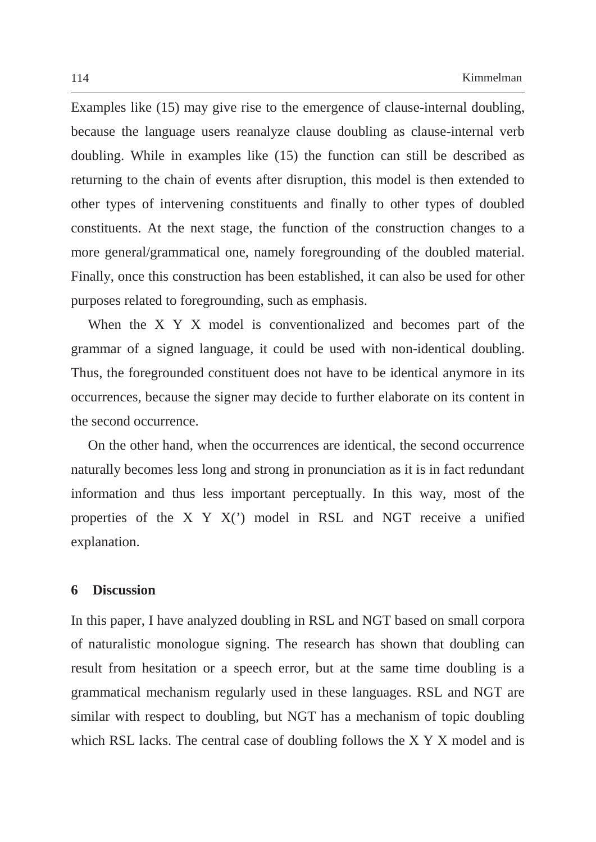Examples like (15) may give rise to the emergence of clause-internal doubling, because the language users reanalyze clause doubling as clause-internal verb doubling. While in examples like (15) the function can still be described as returning to the chain of events after disruption, this model is then extended to other types of intervening constituents and finally to other types of doubled constituents. At the next stage, the function of the construction changes to a more general/grammatical one, namely foregrounding of the doubled material. Finally, once this construction has been established, it can also be used for other purposes related to foregrounding, such as emphasis.

When the X Y X model is conventionalized and becomes part of the grammar of a signed language, it could be used with non-identical doubling. Thus, the foregrounded constituent does not have to be identical anymore in its occurrences, because the signer may decide to further elaborate on its content in the second occurrence.

On the other hand, when the occurrences are identical, the second occurrence naturally becomes less long and strong in pronunciation as it is in fact redundant information and thus less important perceptually. In this way, most of the properties of the X Y X(') model in RSL and NGT receive a unified explanation.

### **6 Discussion**

In this paper, I have analyzed doubling in RSL and NGT based on small corpora of naturalistic monologue signing. The research has shown that doubling can result from hesitation or a speech error, but at the same time doubling is a grammatical mechanism regularly used in these languages. RSL and NGT are similar with respect to doubling, but NGT has a mechanism of topic doubling which RSL lacks. The central case of doubling follows the X Y X model and is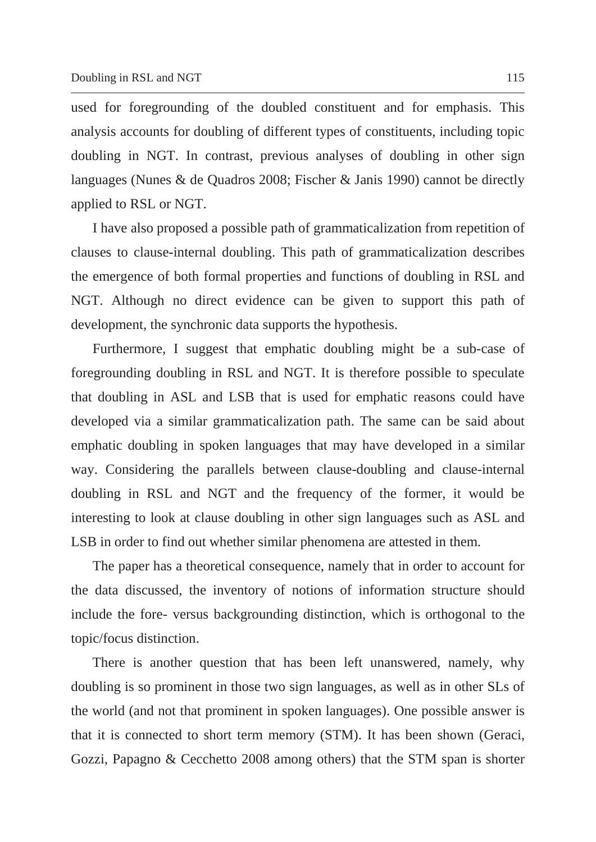used for foregrounding of the doubled constituent and for emphasis. This analysis accounts for doubling of different types of constituents, including topic doubling in NGT. In contrast, previous analyses of doubling in other sign languages (Nunes & de Quadros 2008; Fischer & Janis 1990) cannot be directly applied to RSL or NGT.

I have also proposed a possible path of grammaticalization from repetition of clauses to clause-internal doubling. This path of grammaticalization describes the emergence of both formal properties and functions of doubling in RSL and NGT. Although no direct evidence can be given to support this path of development, the synchronic data supports the hypothesis.

Furthermore, I suggest that emphatic doubling might be a sub-case of foregrounding doubling in RSL and NGT. It is therefore possible to speculate that doubling in ASL and LSB that is used for emphatic reasons could have developed via a similar grammaticalization path. The same can be said about emphatic doubling in spoken languages that may have developed in a similar way. Considering the parallels between clause-doubling and clause-internal doubling in RSL and NGT and the frequency of the former, it would be interesting to look at clause doubling in other sign languages such as ASL and LSB in order to find out whether similar phenomena are attested in them.

The paper has a theoretical consequence, namely that in order to account for the data discussed, the inventory of notions of information structure should include the fore- versus backgrounding distinction, which is orthogonal to the topic/focus distinction.

There is another question that has been left unanswered, namely, why doubling is so prominent in those two sign languages, as well as in other SLs of the world (and not that prominent in spoken languages). One possible answer is that it is connected to short term memory (STM). It has been shown (Geraci, Gozzi, Papagno & Cecchetto 2008 among others) that the STM span is shorter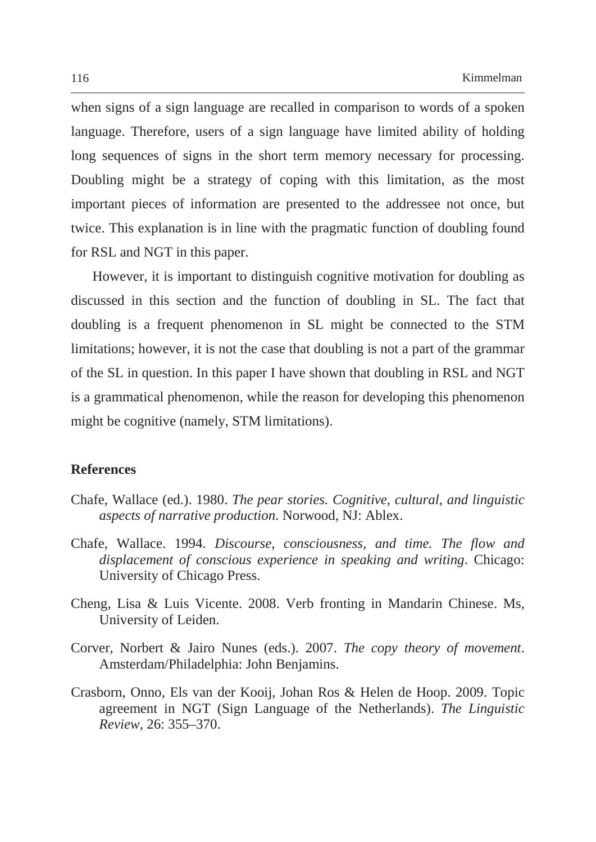when signs of a sign language are recalled in comparison to words of a spoken language. Therefore, users of a sign language have limited ability of holding long sequences of signs in the short term memory necessary for processing. Doubling might be a strategy of coping with this limitation, as the most important pieces of information are presented to the addressee not once, but twice. This explanation is in line with the pragmatic function of doubling found for RSL and NGT in this paper.

However, it is important to distinguish cognitive motivation for doubling as discussed in this section and the function of doubling in SL. The fact that doubling is a frequent phenomenon in SL might be connected to the STM limitations; however, it is not the case that doubling is not a part of the grammar of the SL in question. In this paper I have shown that doubling in RSL and NGT is a grammatical phenomenon, while the reason for developing this phenomenon might be cognitive (namely, STM limitations).

### **References**

- Chafe, Wallace (ed.). 1980. *The pear stories. Cognitive, cultural, and linguistic aspects of narrative production.* Norwood, NJ: Ablex.
- Chafe, Wallace. 1994*. Discourse, consciousness, and time. The flow and displacement of conscious experience in speaking and writing*. Chicago: University of Chicago Press.
- Cheng, Lisa & Luis Vicente. 2008. Verb fronting in Mandarin Chinese. Ms, University of Leiden.
- Corver, Norbert & Jairo Nunes (eds.). 2007. *The copy theory of movement*. Amsterdam/Philadelphia: John Benjamins.
- Crasborn, Onno, Els van der Kooij, Johan Ros & Helen de Hoop. 2009. Topic agreement in NGT (Sign Language of the Netherlands). *The Linguistic Review,* 26: 355–370.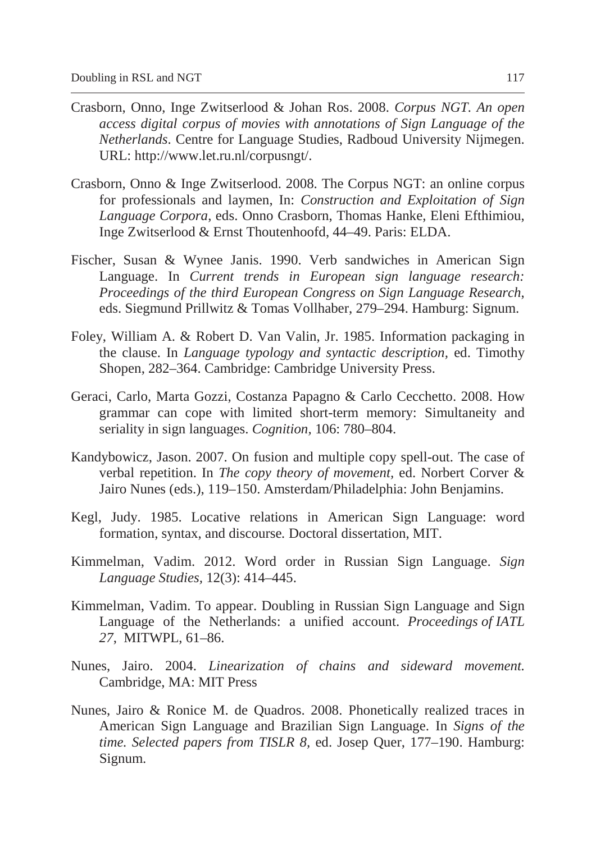- Crasborn, Onno, Inge Zwitserlood & Johan Ros. 2008. *Corpus NGT. An open access digital corpus of movies with annotations of Sign Language of the Netherlands*. Centre for Language Studies, Radboud University Nijmegen. URL: http://www.let.ru.nl/corpusngt/.
- Crasborn, Onno & Inge Zwitserlood. 2008. The Corpus NGT: an online corpus for professionals and laymen, In: *Construction and Exploitation of Sign Language Corpora*, eds. Onno Crasborn, Thomas Hanke, Eleni Efthimiou, Inge Zwitserlood & Ernst Thoutenhoofd, 44–49. Paris: ELDA.
- Fischer, Susan & Wynee Janis. 1990. Verb sandwiches in American Sign Language. In *Current trends in European sign language research: Proceedings of the third European Congress on Sign Language Research*, eds. Siegmund Prillwitz & Tomas Vollhaber, 279–294. Hamburg: Signum.
- Foley, William A. & Robert D. Van Valin, Jr. 1985. Information packaging in the clause. In *Language typology and syntactic description,* ed. Timothy Shopen, 282–364. Cambridge: Cambridge University Press.
- Geraci, Carlo, Marta Gozzi, Costanza Papagno & Carlo Cecchetto. 2008. How grammar can cope with limited short-term memory: Simultaneity and seriality in sign languages. *Cognition,* 106: 780–804.
- Kandybowicz, Jason. 2007. On fusion and multiple copy spell-out. The case of verbal repetition. In *The copy theory of movement,* ed. Norbert Corver & Jairo Nunes (eds.), 119–150. Amsterdam/Philadelphia: John Benjamins.
- Kegl, Judy. 1985. Locative relations in American Sign Language: word formation, syntax, and discourse*.* Doctoral dissertation, MIT.
- Kimmelman, Vadim. 2012. Word order in Russian Sign Language. *Sign Language Studies,* 12(3): 414–445.
- Kimmelman, Vadim. To appear. Doubling in Russian Sign Language and Sign Language of the Netherlands: a unified account. *Proceedings of IATL 27*, MITWPL, 61–86.
- Nunes, Jairo. 2004. *Linearization of chains and sideward movement.*  Cambridge, MA: MIT Press
- Nunes, Jairo & Ronice M. de Quadros. 2008. Phonetically realized traces in American Sign Language and Brazilian Sign Language. In *Signs of the time. Selected papers from TISLR 8,* ed. Josep Quer, 177–190. Hamburg: Signum.